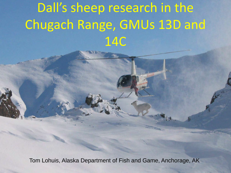# Dall's sheep research in the Chugach Range, GMUs 13D and 14C

Tom Lohuis, Alaska Department of Fish and Game, Anchorage, AK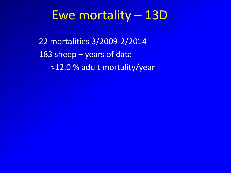## Ewe mortality – 13D

22 mortalities 3/2009-2/2014 183 sheep – years of data ≈12.0 % adult mortality/year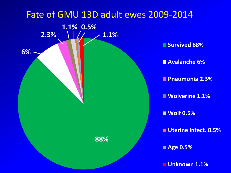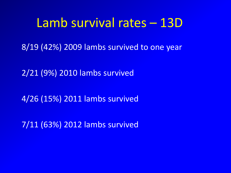## Lamb survival rates – 13D

8/19 (42%) 2009 lambs survived to one year

2/21 (9%) 2010 lambs survived

4/26 (15%) 2011 lambs survived

7/11 (63%) 2012 lambs survived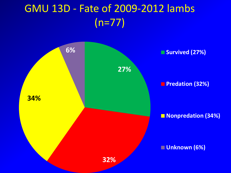## GMU 13D - Fate of 2009-2012 lambs (n=77)

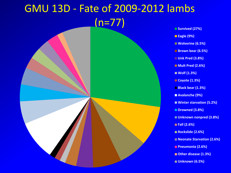#### GMU 13D - Fate of 2009-2012 lambs (n=77) **Survived (27%) Eagle (9%) Wolverine (6.5%) Brown bear (6.5%) Unk Pred (3.8%) Mult Pred (2.6%)** ■ Wolf (1.3%) ■ Coyote (1.3%) **Black bear (1.3%) Avalanche (9%) Winter starvation (5.2%)** ■ Drowned (3.8%) **Unknown nonpred (3.8%) Fall (2.6%)** ■ Rockslide (2.6%) ■ Neonate Starvation (2.6%) **Pneumonia (2.6%)**

- **Other disease (1.3%)**
- **Unknown (6.5%)**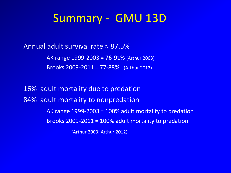#### Summary - GMU 13D

Annual adult survival rate ≈ 87.5%

AK range 1999-2003 = 76-91% (Arthur 2003) Brooks 2009-2011 = 77-88% (Arthur 2012)

16% adult mortality due to predation 84% adult mortality to nonpredation AK range 1999-2003 = 100% adult mortality to predation Brooks 2009-2011 = 100% adult mortality to predation (Arthur 2003; Arthur 2012)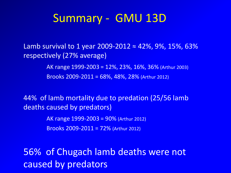#### Summary - GMU 13D

Lamb survival to 1 year 2009-2012  $\approx$  42%, 9%, 15%, 63% respectively (27% average)

> AK range 1999-2003 = 12%, 23%, 16%, 36% (Arthur 2003) Brooks 2009-2011 = 68%, 48%, 28% (Arthur 2012)

44% of lamb mortality due to predation (25/56 lamb deaths caused by predators)

> AK range 1999-2003 = 90% (Arthur 2012) Brooks 2009-2011 = 72% (Arthur 2012)

56% of Chugach lamb deaths were not caused by predators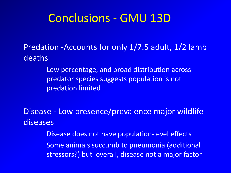### Conclusions - GMU 13D

Predation -Accounts for only 1/7.5 adult, 1/2 lamb deaths

> Low percentage, and broad distribution across predator species suggests population is not predation limited

Disease - Low presence/prevalence major wildlife diseases

> Disease does not have population-level effects Some animals succumb to pneumonia (additional stressors?) but overall, disease not a major factor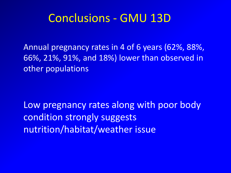#### Conclusions - GMU 13D

Annual pregnancy rates in 4 of 6 years (62%, 88%, 66%, 21%, 91%, and 18%) lower than observed in other populations

Low pregnancy rates along with poor body condition strongly suggests nutrition/habitat/weather issue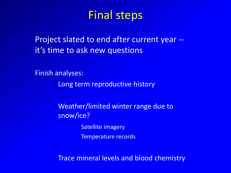## Final steps

Project slated to end after current year - it's time to ask new questions

Finish analyses:

Long term reproductive history

 Weather/limited winter range due to snow/ice? Satellite imagery

Temperature records

Trace mineral levels and blood chemistry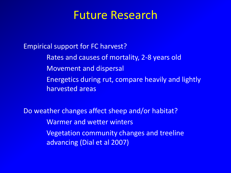#### Future Research

Empirical support for FC harvest?

 Rates and causes of mortality, 2-8 years old Movement and dispersal Energetics during rut, compare heavily and lightly harvested areas

Do weather changes affect sheep and/or habitat? Warmer and wetter winters Vegetation community changes and treeline advancing (Dial et al 2007)